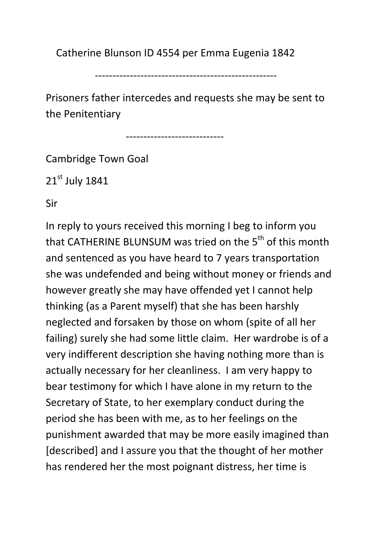Catherine Blunson ID 4554 per Emma Eugenia 1842

----------------------------------------------------

Prisoners father intercedes and requests she may be sent to the Penitentiary

----------------------------

Cambridge Town Goal

21<sup>st</sup> July 1841

Sir

In reply to yours received this morning I beg to inform you that CATHERINE BLUNSUM was tried on the 5<sup>th</sup> of this month and sentenced as you have heard to 7 years transportation she was undefended and being without money or friends and however greatly she may have offended yet I cannot help thinking (as a Parent myself) that she has been harshly neglected and forsaken by those on whom (spite of all her failing) surely she had some little claim. Her wardrobe is of a very indifferent description she having nothing more than is actually necessary for her cleanliness. I am very happy to bear testimony for which I have alone in my return to the Secretary of State, to her exemplary conduct during the period she has been with me, as to her feelings on the punishment awarded that may be more easily imagined than [described] and I assure you that the thought of her mother has rendered her the most poignant distress, her time is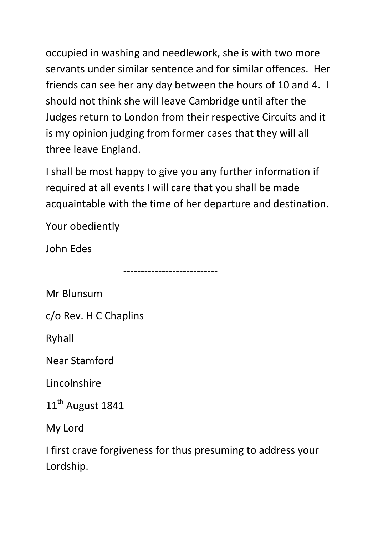occupied in washing and needlework, she is with two more servants under similar sentence and for similar offences. Her friends can see her any day between the hours of 10 and 4. I should not think she will leave Cambridge until after the Judges return to London from their respective Circuits and it is my opinion judging from former cases that they will all three leave England.

I shall be most happy to give you any further information if required at all events I will care that you shall be made acquaintable with the time of her departure and destination.

---------------------------

Your obediently

John Edes

Mr Blunsum

c/o Rev. H C Chaplins

Ryhall

Near Stamford

Lincolnshire

11<sup>th</sup> August 1841

My Lord

I first crave forgiveness for thus presuming to address your Lordship.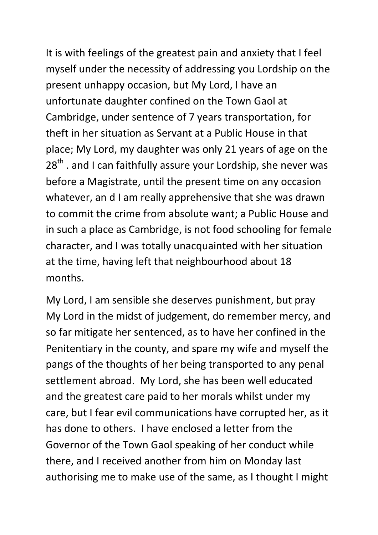It is with feelings of the greatest pain and anxiety that I feel myself under the necessity of addressing you Lordship on the present unhappy occasion, but My Lord, I have an unfortunate daughter confined on the Town Gaol at Cambridge, under sentence of 7 years transportation, for theft in her situation as Servant at a Public House in that place; My Lord, my daughter was only 21 years of age on the  $28<sup>th</sup>$ . and I can faithfully assure your Lordship, she never was before a Magistrate, until the present time on any occasion whatever, an d I am really apprehensive that she was drawn to commit the crime from absolute want; a Public House and in such a place as Cambridge, is not food schooling for female character, and I was totally unacquainted with her situation at the time, having left that neighbourhood about 18 months.

My Lord, I am sensible she deserves punishment, but pray My Lord in the midst of judgement, do remember mercy, and so far mitigate her sentenced, as to have her confined in the Penitentiary in the county, and spare my wife and myself the pangs of the thoughts of her being transported to any penal settlement abroad. My Lord, she has been well educated and the greatest care paid to her morals whilst under my care, but I fear evil communications have corrupted her, as it has done to others. I have enclosed a letter from the Governor of the Town Gaol speaking of her conduct while there, and I received another from him on Monday last authorising me to make use of the same, as I thought I might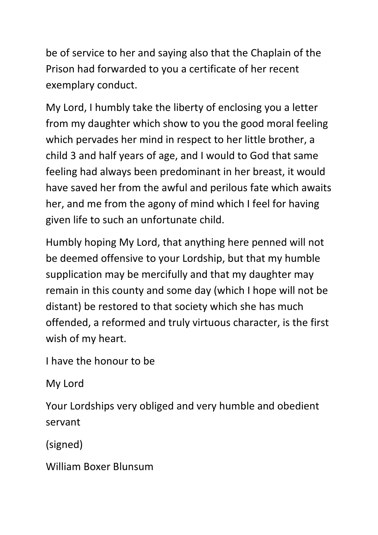be of service to her and saying also that the Chaplain of the Prison had forwarded to you a certificate of her recent exemplary conduct.

My Lord, I humbly take the liberty of enclosing you a letter from my daughter which show to you the good moral feeling which pervades her mind in respect to her little brother, a child 3 and half years of age, and I would to God that same feeling had always been predominant in her breast, it would have saved her from the awful and perilous fate which awaits her, and me from the agony of mind which I feel for having given life to such an unfortunate child.

Humbly hoping My Lord, that anything here penned will not be deemed offensive to your Lordship, but that my humble supplication may be mercifully and that my daughter may remain in this county and some day (which I hope will not be distant) be restored to that society which she has much offended, a reformed and truly virtuous character, is the first wish of my heart.

I have the honour to be

My Lord

Your Lordships very obliged and very humble and obedient servant

(signed)

William Boxer Blunsum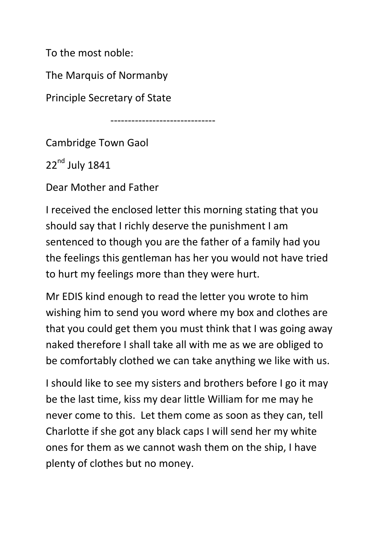To the most noble:

The Marquis of Normanby

Principle Secretary of State

------------------------------

Cambridge Town Gaol

 $22<sup>nd</sup>$  July 1841

Dear Mother and Father

I received the enclosed letter this morning stating that you should say that I richly deserve the punishment I am sentenced to though you are the father of a family had you the feelings this gentleman has her you would not have tried to hurt my feelings more than they were hurt.

Mr EDIS kind enough to read the letter you wrote to him wishing him to send you word where my box and clothes are that you could get them you must think that I was going away naked therefore I shall take all with me as we are obliged to be comfortably clothed we can take anything we like with us.

I should like to see my sisters and brothers before I go it may be the last time, kiss my dear little William for me may he never come to this. Let them come as soon as they can, tell Charlotte if she got any black caps I will send her my white ones for them as we cannot wash them on the ship, I have plenty of clothes but no money.